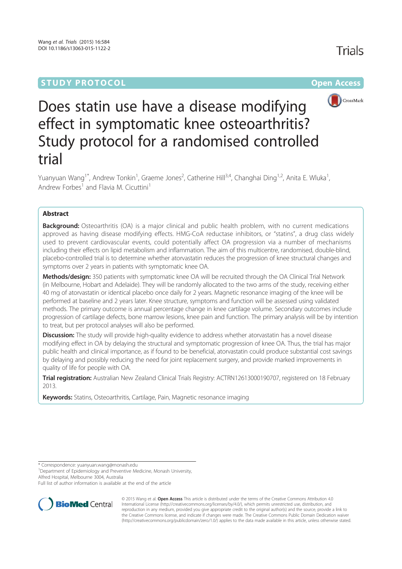# S TUDY PROTOCOL AND THE STUDY PROTOCOL



# Does statin use have a disease modifying effect in symptomatic knee osteoarthritis? Study protocol for a randomised controlled trial

Yuanyuan Wang<sup>1\*</sup>, Andrew Tonkin<sup>1</sup>, Graeme Jones<sup>2</sup>, Catherine Hill<sup>3,4</sup>, Changhai Ding<sup>1,2</sup>, Anita E. Wluka<sup>1</sup> , Andrew Forbes<sup>1</sup> and Flavia M. Cicuttini<sup>1</sup>

# Abstract

Background: Osteoarthritis (OA) is a major clinical and public health problem, with no current medications approved as having disease modifying effects. HMG-CoA reductase inhibitors, or "statins", a drug class widely used to prevent cardiovascular events, could potentially affect OA progression via a number of mechanisms including their effects on lipid metabolism and inflammation. The aim of this multicentre, randomised, double-blind, placebo-controlled trial is to determine whether atorvastatin reduces the progression of knee structural changes and symptoms over 2 years in patients with symptomatic knee OA.

Methods/design: 350 patients with symptomatic knee OA will be recruited through the OA Clinical Trial Network (in Melbourne, Hobart and Adelaide). They will be randomly allocated to the two arms of the study, receiving either 40 mg of atorvastatin or identical placebo once daily for 2 years. Magnetic resonance imaging of the knee will be performed at baseline and 2 years later. Knee structure, symptoms and function will be assessed using validated methods. The primary outcome is annual percentage change in knee cartilage volume. Secondary outcomes include progression of cartilage defects, bone marrow lesions, knee pain and function. The primary analysis will be by intention to treat, but per protocol analyses will also be performed.

Discussion: The study will provide high-quality evidence to address whether atorvastatin has a novel disease modifying effect in OA by delaying the structural and symptomatic progression of knee OA. Thus, the trial has major public health and clinical importance, as if found to be beneficial, atorvastatin could produce substantial cost savings by delaying and possibly reducing the need for joint replacement surgery, and provide marked improvements in quality of life for people with OA.

Trial registration: Australian New Zealand Clinical Trials Registry: ACTRN12613000190707, registered on 18 February 2013.

**Keywords:** Statins, Osteoarthritis, Cartilage, Pain, Magnetic resonance imaging

\* Correspondence: yuanyuan.wang@monash.edu

<sup>1</sup>Department of Epidemiology and Preventive Medicine, Monash University,

Alfred Hospital, Melbourne 3004, Australia

Full list of author information is available at the end of the article



© 2015 Wang et al. Open Access This article is distributed under the terms of the Creative Commons Attribution 4.0 International License (http://creativecommons.org/licenses/by/4.0/), which permits unrestricted use, distribution, and reproduction in any medium, provided you give appropriate credit to the original author(s) and the source, provide a link to the Creative Commons license, and indicate if changes were made. The Creative Commons Public Domain Dedication waiver (http://creativecommons.org/publicdomain/zero/1.0/) applies to the data made available in this article, unless otherwise stated.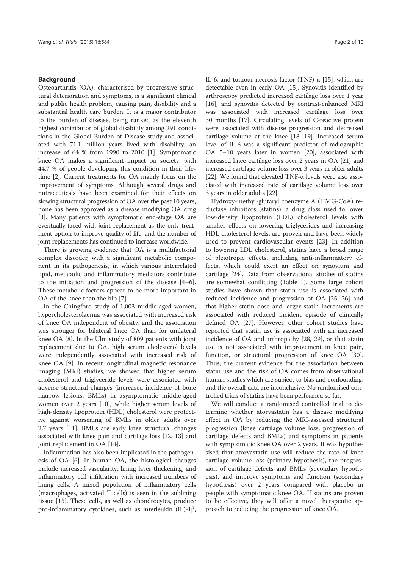## **Background**

Osteoarthritis (OA), characterised by progressive structural deterioration and symptoms, is a significant clinical and public health problem, causing pain, disability and a substantial health care burden. It is a major contributor to the burden of disease, being ranked as the eleventh highest contributor of global disability among 291 conditions in the Global Burden of Disease study and associated with 71.1 million years lived with disability, an increase of 64 % from 1990 to 2010 [1]. Symptomatic knee OA makes a significant impact on society, with 44.7 % of people developing this condition in their lifetime [2]. Current treatments for OA mainly focus on the improvement of symptoms. Although several drugs and nutraceuticals have been examined for their effects on slowing structural progression of OA over the past 10 years, none has been approved as a disease modifying OA drug [3]. Many patients with symptomatic end-stage OA are eventually faced with joint replacement as the only treatment option to improve quality of life, and the number of joint replacements has continued to increase worldwide.

There is growing evidence that OA is a multifactorial complex disorder, with a significant metabolic component in its pathogenesis, in which various interrelated lipid, metabolic and inflammatory mediators contribute to the initiation and progression of the disease [4–6]. These metabolic factors appear to be more important in OA of the knee than the hip [7].

In the Chingford study of 1,003 middle-aged women, hypercholesterolaemia was associated with increased risk of knee OA independent of obesity, and the association was stronger for bilateral knee OA than for unilateral knee OA [8]. In the Ulm study of 809 patients with joint replacement due to OA, high serum cholesterol levels were independently associated with increased risk of knee OA [9]. In recent longitudinal magnetic resonance imaging (MRI) studies, we showed that higher serum cholesterol and triglyceride levels were associated with adverse structural changes (increased incidence of bone marrow lesions, BMLs) in asymptomatic middle-aged women over 2 years [10], while higher serum levels of high-density lipoprotein (HDL) cholesterol were protective against worsening of BMLs in older adults over 2.7 years [11]. BMLs are early knee structural changes associated with knee pain and cartilage loss [12, 13] and joint replacement in OA [14].

Inflammation has also been implicated in the pathogenesis of OA [6]. In human OA, the histological changes include increased vascularity, lining layer thickening, and inflammatory cell infiltration with increased numbers of lining cells. A mixed population of inflammatory cells (macrophages, activated T cells) is seen in the sublining tissue [15]. These cells, as well as chondrocytes, produce pro-inflammatory cytokines, such as interleukin (IL)-1β, IL-6, and tumour necrosis factor (TNF)- $\alpha$  [15], which are detectable even in early OA [15]. Synovitis identified by arthroscopy predicted increased cartilage loss over 1 year [16], and synovitis detected by contrast-enhanced MRI was associated with increased cartilage loss over 30 months [17]. Circulating levels of C-reactive protein were associated with disease progression and decreased cartilage volume at the knee [18, 19]. Increased serum level of IL-6 was a significant predictor of radiographic OA 5–10 years later in women [20], associated with increased knee cartilage loss over 2 years in OA [21] and increased cartilage volume loss over 3 years in older adults [22]. We found that elevated TNF- $\alpha$  levels were also associated with increased rate of cartilage volume loss over 3 years in older adults [22].

Hydroxy-methyl-glutaryl coenzyme A (HMG-CoA) reductase inhibitors (statins), a drug class used to lower low-density lipoprotein (LDL) cholesterol levels with smaller effects on lowering triglycerides and increasing HDL cholesterol levels, are proven and have been widely used to prevent cardiovascular events [23]. In addition to lowering LDL cholesterol, statins have a broad range of pleiotropic effects, including anti-inflammatory effects, which could exert an effect on synovium and cartilage [24]. Data from observational studies of statins are somewhat conflicting (Table 1). Some large cohort studies have shown that statin use is associated with reduced incidence and progression of OA [25, 26] and that higher statin dose and larger statin increments are associated with reduced incident episode of clinically defined OA [27]. However, other cohort studies have reported that statin use is associated with an increased incidence of OA and arthropathy [28, 29], or that statin use is not associated with improvement in knee pain, function, or structural progression of knee OA [30]. Thus, the current evidence for the association between statin use and the risk of OA comes from observational human studies which are subject to bias and confounding, and the overall data are inconclusive. No randomised controlled trials of statins have been performed so far.

We will conduct a randomised controlled trial to determine whether atorvastatin has a disease modifying effect in OA by reducing the MRI-assessed structural progression (knee cartilage volume loss, progression of cartilage defects and BMLs) and symptoms in patients with symptomatic knee OA over 2 years. It was hypothesised that atorvastatin use will reduce the rate of knee cartilage volume loss (primary hypothesis), the progression of cartilage defects and BMLs (secondary hypothesis), and improve symptoms and function (secondary hypothesis) over 2 years compared with placebo in people with symptomatic knee OA. If statins are proven to be effective, they will offer a novel therapeutic approach to reducing the progression of knee OA.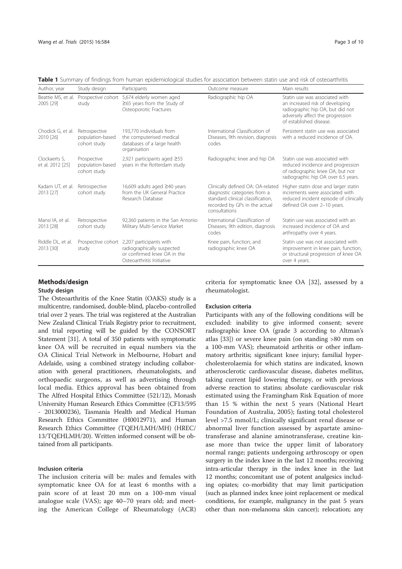| Author, year                      | Study design                                      | Participants                                                                                                                         | Outcome measure                                                                                                                                          | Main results                                                                                                                                                         |
|-----------------------------------|---------------------------------------------------|--------------------------------------------------------------------------------------------------------------------------------------|----------------------------------------------------------------------------------------------------------------------------------------------------------|----------------------------------------------------------------------------------------------------------------------------------------------------------------------|
| Beattie MS, et al.<br>2005 [29]   | study                                             | Prospective cohort 5,674 elderly women aged<br>$\geq$ 65 years from the Study of<br>Osteoporotic Fractures                           | Radiographic hip OA                                                                                                                                      | Statin use was associated with<br>an increased risk of developing<br>radiographic hip OA, but did not<br>adversely affect the progression<br>of established disease. |
| Chodick G. et al.<br>2010 [26]    | Retrospective<br>population-based<br>cohort study | 193.770 individuals from<br>the computerised medical<br>databases of a large health<br>organisation                                  | International Classification of<br>Diseases, 9th revision, diagnosis<br>codes                                                                            | Persistent statin use was associated<br>with a reduced incidence of OA.                                                                                              |
| Clockaerts S.<br>et al. 2012 [25] | Prospective<br>population-based<br>cohort study   | 2,921 participants aged $\geq 55$<br>years in the Rotterdam study                                                                    | Radiographic knee and hip OA                                                                                                                             | Statin use was associated with<br>reduced incidence and progression<br>of radiographic knee OA, but not<br>radiographic hip OA over 6.5 years.                       |
| Kadam UT, et al.<br>2013 [27]     | Retrospective<br>cohort study                     | 16,609 adults aged $\geq$ 40 years<br>from the UK General Practice<br>Research Database                                              | Clinically defined OA: OA-related<br>diagnostic categories from a<br>standard clinical classification,<br>recorded by GPs in the actual<br>consultations | Higher statin dose and larger statin<br>increments were associated with<br>reduced incident episode of clinically<br>defined OA over 2-10 years.                     |
| Mansi IA, et al.<br>2013 [28]     | Retrospective<br>cohort study                     | 92,360 patients in the San Antonio<br>Military Multi-Service Market                                                                  | International Classification of<br>Diseases, 9th edition, diagnosis<br>codes                                                                             | Statin use was associated with an<br>increased incidence of OA and<br>arthropathy over 4 years.                                                                      |
| Riddle DL, et al.<br>2013 [30]    | study                                             | Prospective cohort 2,207 participants with<br>radiographically suspected<br>or confirmed knee OA in the<br>Osteoarthritis Initiative | Knee pain, function, and<br>radiographic knee OA                                                                                                         | Statin use was not associated with<br>improvement in knee pain, function,<br>or structural progression of knee OA<br>over 4 years.                                   |

Table 1 Summary of findings from human epidemiological studies for association between statin use and risk of osteoarthritis

# Methods/design

#### Study design

The Osteoarthritis of the Knee Statin (OAKS) study is a multicentre, randomised, double-blind, placebo-controlled trial over 2 years. The trial was registered at the Australian New Zealand Clinical Trials Registry prior to recruitment, and trial reporting will be guided by the CONSORT Statement [31]. A total of 350 patients with symptomatic knee OA will be recruited in equal numbers via the OA Clinical Trial Network in Melbourne, Hobart and Adelaide, using a combined strategy including collaboration with general practitioners, rheumatologists, and orthopaedic surgeons, as well as advertising through local media. Ethics approval has been obtained from The Alfred Hospital Ethics Committee (521/12), Monash University Human Research Ethics Committee (CF13/595 - 2013000236), Tasmania Health and Medical Human Research Ethics Committee (H0012971), and Human Research Ethics Committee (TQEH/LMH/MH) (HREC/ 13/TQEHLMH/20). Written informed consent will be obtained from all participants.

## Inclusion criteria

The inclusion criteria will be: males and females with symptomatic knee OA for at least 6 months with a pain score of at least 20 mm on a 100-mm visual analogue scale (VAS); age 40–70 years old; and meeting the American College of Rheumatology (ACR) criteria for symptomatic knee OA [32], assessed by a rheumatologist.

#### Exclusion criteria

Participants with any of the following conditions will be excluded: inability to give informed consent; severe radiographic knee OA (grade 3 according to Altman's atlas [33]) or severe knee pain (on standing >80 mm on a 100-mm VAS); rheumatoid arthritis or other inflammatory arthritis; significant knee injury; familial hypercholesterolaemia for which statins are indicated, known atherosclerotic cardiovascular disease, diabetes mellitus, taking current lipid lowering therapy, or with previous adverse reaction to statins; absolute cardiovascular risk estimated using the Framingham Risk Equation of more than 15 % within the next 5 years (National Heart Foundation of Australia, 2005); fasting total cholesterol level >7.5 mmol/L; clinically significant renal disease or abnormal liver function assessed by aspartate aminotransferase and alanine aminotransferase, creatine kinase more than twice the upper limit of laboratory normal range; patients undergoing arthroscopy or open surgery in the index knee in the last 12 months; receiving intra-articular therapy in the index knee in the last 12 months; concomitant use of potent analgesics including opiates; co-morbidity that may limit participation (such as planned index knee joint replacement or medical conditions, for example, malignancy in the past 5 years other than non-melanoma skin cancer); relocation; any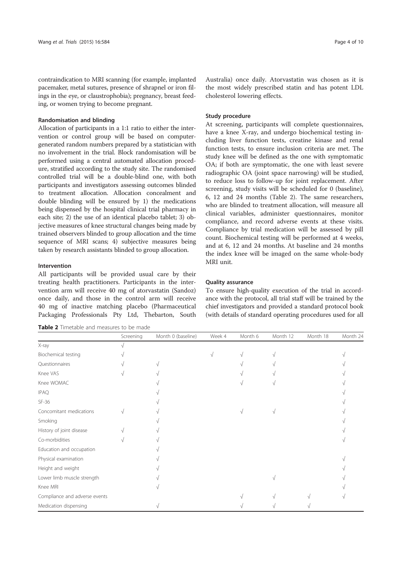contraindication to MRI scanning (for example, implanted pacemaker, metal sutures, presence of shrapnel or iron filings in the eye, or claustrophobia); pregnancy, breast feeding, or women trying to become pregnant.

## Randomisation and blinding

Allocation of participants in a 1:1 ratio to either the intervention or control group will be based on computergenerated random numbers prepared by a statistician with no involvement in the trial. Block randomisation will be performed using a central automated allocation procedure, stratified according to the study site. The randomised controlled trial will be a double-blind one, with both participants and investigators assessing outcomes blinded to treatment allocation. Allocation concealment and double blinding will be ensured by 1) the medications being dispensed by the hospital clinical trial pharmacy in each site; 2) the use of an identical placebo tablet; 3) objective measures of knee structural changes being made by trained observers blinded to group allocation and the time sequence of MRI scans; 4) subjective measures being taken by research assistants blinded to group allocation.

#### Intervention

All participants will be provided usual care by their treating health practitioners. Participants in the intervention arm will receive 40 mg of atorvastatin (Sandoz) once daily, and those in the control arm will receive 40 mg of inactive matching placebo (Pharmaceutical Packaging Professionals Pty Ltd, Thebarton, South

Table 2 Timetable and measures to be made

Australia) once daily. Atorvastatin was chosen as it is the most widely prescribed statin and has potent LDL cholesterol lowering effects.

## Study procedure

At screening, participants will complete questionnaires, have a knee X-ray, and undergo biochemical testing including liver function tests, creatine kinase and renal function tests, to ensure inclusion criteria are met. The study knee will be defined as the one with symptomatic OA; if both are symptomatic, the one with least severe radiographic OA (joint space narrowing) will be studied, to reduce loss to follow-up for joint replacement. After screening, study visits will be scheduled for 0 (baseline), 6, 12 and 24 months (Table 2). The same researchers, who are blinded to treatment allocation, will measure all clinical variables, administer questionnaires, monitor compliance, and record adverse events at these visits. Compliance by trial medication will be assessed by pill count. Biochemical testing will be performed at 4 weeks, and at 6, 12 and 24 months. At baseline and 24 months the index knee will be imaged on the same whole-body MRI unit.

#### Quality assurance

To ensure high-quality execution of the trial in accordance with the protocol, all trial staff will be trained by the chief investigators and provided a standard protocol book (with details of standard operating procedures used for all

|                               | Screening | Month 0 (baseline) | Week 4 | Month 6 | Month 12 | Month 18 | Month 24 |
|-------------------------------|-----------|--------------------|--------|---------|----------|----------|----------|
| X-ray                         |           |                    |        |         |          |          |          |
| Biochemical testing           |           |                    |        |         |          |          |          |
| Questionnaires                |           |                    |        |         |          |          |          |
| Knee VAS                      |           |                    |        |         |          |          |          |
| Knee WOMAC                    |           |                    |        |         |          |          |          |
| <b>IPAQ</b>                   |           |                    |        |         |          |          |          |
| $SF-36$                       |           |                    |        |         |          |          |          |
| Concomitant medications       |           |                    |        |         |          |          |          |
| Smoking                       |           |                    |        |         |          |          |          |
| History of joint disease      |           |                    |        |         |          |          |          |
| Co-morbidities                |           |                    |        |         |          |          |          |
| Education and occupation      |           |                    |        |         |          |          |          |
| Physical examination          |           |                    |        |         |          |          |          |
| Height and weight             |           |                    |        |         |          |          |          |
| Lower limb muscle strength    |           |                    |        |         |          |          |          |
| Knee MRI                      |           |                    |        |         |          |          |          |
| Compliance and adverse events |           |                    |        |         |          |          |          |
| Medication dispensing         |           |                    |        |         |          |          |          |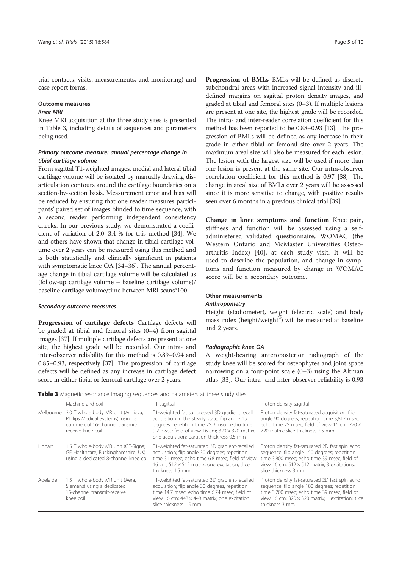trial contacts, visits, measurements, and monitoring) and case report forms.

#### Outcome measures Knee MRI

Knee MRI acquisition at the three study sites is presented in Table 3, including details of sequences and parameters being used.

# Primary outcome measure: annual percentage change in tibial cartilage volume

From sagittal T1-weighted images, medial and lateral tibial cartilage volume will be isolated by manually drawing disarticulation contours around the cartilage boundaries on a section-by-section basis. Measurement error and bias will be reduced by ensuring that one reader measures participants' paired set of images blinded to time sequence, with a second reader performing independent consistency checks. In our previous study, we demonstrated a coefficient of variation of 2.0–3.4 % for this method [34]. We and others have shown that change in tibial cartilage volume over 2 years can be measured using this method and is both statistically and clinically significant in patients with symptomatic knee OA [34–36]. The annual percentage change in tibial cartilage volume will be calculated as (follow-up cartilage volume – baseline cartilage volume)/ baseline cartilage volume/time between MRI scans\*100.

#### Secondary outcome measures

Progression of cartilage defects Cartilage defects will be graded at tibial and femoral sites (0–4) from sagittal images [37]. If multiple cartilage defects are present at one site, the highest grade will be recorded. Our intra- and inter-observer reliability for this method is 0.89–0.94 and 0.85–0.93, respectively [37]. The progression of cartilage defects will be defined as any increase in cartilage defect score in either tibial or femoral cartilage over 2 years.

Progression of BMLs BMLs will be defined as discrete subchondral areas with increased signal intensity and illdefined margins on sagittal proton density images, and graded at tibial and femoral sites (0–3). If multiple lesions are present at one site, the highest grade will be recorded. The intra- and inter-reader correlation coefficient for this method has been reported to be 0.88–0.93 [13]. The progression of BMLs will be defined as any increase in their grade in either tibial or femoral site over 2 years. The maximum areal size will also be measured for each lesion. The lesion with the largest size will be used if more than one lesion is present at the same site. Our intra-observer correlation coefficient for this method is 0.97 [38]. The change in areal size of BMLs over 2 years will be assessed since it is more sensitive to change, with positive results seen over 6 months in a previous clinical trial [39].

Change in knee symptoms and function Knee pain, stiffness and function will be assessed using a selfadministered validated questionnaire, WOMAC (the Western Ontario and McMaster Universities Osteoarthritis Index) [40], at each study visit. It will be used to describe the population, and change in symptoms and function measured by change in WOMAC score will be a secondary outcome.

# Other measurements

# Anthropometry

Height (stadiometer), weight (electric scale) and body mass index (height/weight<sup>2</sup>) will be measured at baseline and 2 years.

#### Radiographic knee OA

A weight-bearing anteroposterior radiograph of the study knee will be scored for osteophytes and joint space narrowing on a four-point scale (0–3) using the Altman atlas [33]. Our intra- and inter-observer reliability is 0.93

Table 3 Magnetic resonance imaging sequences and parameters at three study sites

|          | Machine and coil                                                                                                                          | T1 sagittal                                                                                                                                                                                                                                                | Proton density sagittal                                                                                                                                                                                                       |
|----------|-------------------------------------------------------------------------------------------------------------------------------------------|------------------------------------------------------------------------------------------------------------------------------------------------------------------------------------------------------------------------------------------------------------|-------------------------------------------------------------------------------------------------------------------------------------------------------------------------------------------------------------------------------|
|          | Melbourne 3.0 T whole body MR unit (Achieva,<br>Philips Medical Systems), using a<br>commercial 16-channel transmit-<br>receive knee coil | T1-weighted fat suppressed 3D gradient recall<br>acquisition in the steady state; flip angle 15<br>degrees; repetition time 25.9 msec; echo time<br>9.2 msec: field of view 16 cm: $320 \times 320$ matrix:<br>one acquisition; partition thickness 0.5 mm | Proton density fat-saturated acquisition; flip<br>angle 90 degrees; repetition time 3,817 msec;<br>echo time 25 msec; field of view 16 cm; 720 x<br>720 matrix: slice thickness 2.5 mm                                        |
| Hobart   | 1.5 T whole-body MR unit (GE-Signa;<br>GE Healthcare, Buckinghamshire, UK)<br>using a dedicated 8-channel knee coil                       | T1-weighted fat-saturated 3D gradient-recalled<br>acquisition; flip angle 30 degrees; repetition<br>time 31 msec; echo time 6.8 msec; field of view<br>16 cm; $512 \times 512$ matrix; one excitation; slice<br>thickness 1.5 mm                           | Proton density fat-saturated 2D fast spin echo<br>sequence; flip angle 150 degrees; repetition<br>time 3,800 msec; echo time 39 msec; field of<br>view 16 cm; $512 \times 512$ matrix; 3 excitations;<br>slice thickness 3 mm |
| Adelaide | 1.5 T whole-body MR unit (Aera,<br>Siemens) using a dedicated<br>15-channel transmit-receive<br>knee coil                                 | T1-weighted fat-saturated 3D gradient-recalled<br>acquisition; flip angle 30 degrees, repetition<br>time 14.7 msec; echo time 6.74 msec; field of<br>view 16 cm; 448 x 448 matrix; one excitation;<br>slice thickness 1.5 mm                               | Proton density fat-saturated 2D fast spin echo<br>sequence; flip angle 180 degrees; repetition<br>time 3,200 msec; echo time 39 msec; field of<br>view 16 cm; $320 \times 320$ matrix; 1 excitation; slice<br>thickness 3 mm  |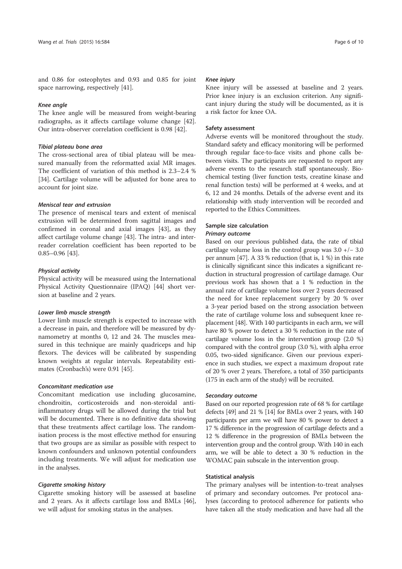and 0.86 for osteophytes and 0.93 and 0.85 for joint space narrowing, respectively [41].

#### Knee angle

The knee angle will be measured from weight-bearing radiographs, as it affects cartilage volume change [42]. Our intra-observer correlation coefficient is 0.98 [42].

#### Tibial plateau bone area

The cross-sectional area of tibial plateau will be measured manually from the reformatted axial MR images. The coefficient of variation of this method is 2.3–2.4 % [34]. Cartilage volume will be adjusted for bone area to account for joint size.

#### Meniscal tear and extrusion

The presence of meniscal tears and extent of meniscal extrusion will be determined from sagittal images and confirmed in coronal and axial images [43], as they affect cartilage volume change [43]. The intra- and interreader correlation coefficient has been reported to be 0.85–0.96 [43].

#### Physical activity

Physical activity will be measured using the International Physical Activity Questionnaire (IPAQ) [44] short version at baseline and 2 years.

#### Lower limb muscle strength

Lower limb muscle strength is expected to increase with a decrease in pain, and therefore will be measured by dynamometry at months 0, 12 and 24. The muscles measured in this technique are mainly quadriceps and hip flexors. The devices will be calibrated by suspending known weights at regular intervals. Repeatability estimates (Cronbach's) were 0.91 [45].

#### Concomitant medication use

Concomitant medication use including glucosamine, chondroitin, corticosteroids and non-steroidal antiinflammatory drugs will be allowed during the trial but will be documented. There is no definitive data showing that these treatments affect cartilage loss. The randomisation process is the most effective method for ensuring that two groups are as similar as possible with respect to known confounders and unknown potential confounders including treatments. We will adjust for medication use in the analyses.

#### Cigarette smoking history

Cigarette smoking history will be assessed at baseline and 2 years. As it affects cartilage loss and BMLs [46], we will adjust for smoking status in the analyses.

#### Knee injury

Knee injury will be assessed at baseline and 2 years. Prior knee injury is an exclusion criterion. Any significant injury during the study will be documented, as it is a risk factor for knee OA.

#### Safety assessment

Adverse events will be monitored throughout the study. Standard safety and efficacy monitoring will be performed through regular face-to-face visits and phone calls between visits. The participants are requested to report any adverse events to the research staff spontaneously. Biochemical testing (liver function tests, creatine kinase and renal function tests) will be performed at 4 weeks, and at 6, 12 and 24 months. Details of the adverse event and its relationship with study intervention will be recorded and reported to the Ethics Committees.

#### Sample size calculation

## Primary outcome

Based on our previous published data, the rate of tibial cartilage volume loss in the control group was 3.0 +/− 3.0 per annum [47]. A 33 % reduction (that is, 1 %) in this rate is clinically significant since this indicates a significant reduction in structural progression of cartilage damage. Our previous work has shown that a 1 % reduction in the annual rate of cartilage volume loss over 2 years decreased the need for knee replacement surgery by 20 % over a 3-year period based on the strong association between the rate of cartilage volume loss and subsequent knee replacement [48]. With 140 participants in each arm, we will have 80 % power to detect a 30 % reduction in the rate of cartilage volume loss in the intervention group (2.0 %) compared with the control group (3.0 %), with alpha error 0.05, two-sided significance. Given our previous experience in such studies, we expect a maximum dropout rate of 20 % over 2 years. Therefore, a total of 350 participants (175 in each arm of the study) will be recruited.

#### Secondary outcome

Based on our reported progression rate of 68 % for cartilage defects [49] and 21 % [14] for BMLs over 2 years, with 140 participants per arm we will have 80 % power to detect a 17 % difference in the progression of cartilage defects and a 12 % difference in the progression of BMLs between the intervention group and the control group. With 140 in each arm, we will be able to detect a 30 % reduction in the WOMAC pain subscale in the intervention group.

## Statistical analysis

The primary analyses will be intention-to-treat analyses of primary and secondary outcomes. Per protocol analyses (according to protocol adherence for patients who have taken all the study medication and have had all the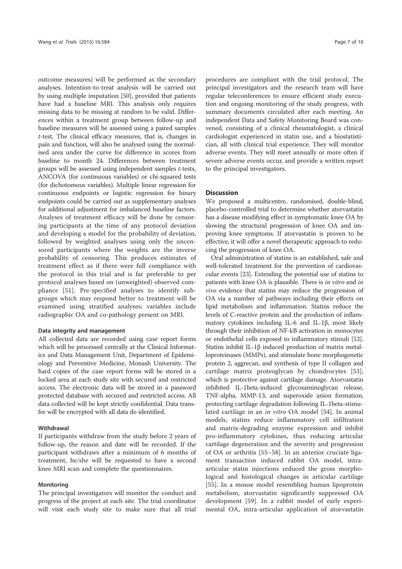outcome measures) will be performed as the secondary analyses. Intention-to-treat analysis will be carried out by using multiple imputation [50], provided that patients have had a baseline MRI. This analysis only requires missing data to be missing at random to be valid. Differences within a treatment group between follow-up and baseline measures will be assessed using a paired samples t-test. The clinical efficacy measures, that is, changes in pain and function, will also be analysed using the normalised area under the curve for difference in scores from baseline to month 24. Differences between treatment groups will be assessed using independent samples t-tests, ANCOVA (for continuous variables) or chi-squared tests (for dichotomous variables). Multiple linear regression for continuous endpoints or logistic regression for binary endpoints could be carried out as supplementary analyses for additional adjustment for imbalanced baseline factors. Analyses of treatment efficacy will be done by censoring participants at the time of any protocol deviation and developing a model for the probability of deviation, followed by weighted analyses using only the uncensored participants where the weights are the inverse probability of censoring. This produces estimates of treatment effect as if there were full compliance with the protocol in this trial and is far preferable to per protocol analyses based on (unweighted) observed compliance [51]. Pre-specified analyses to identify subgroups which may respond better to treatment will be examined using stratified analyses; variables include radiographic OA and co-pathology present on MRI.

#### Data integrity and management

All collected data are recorded using case report forms which will be processed centrally at the Clinical Informatics and Data Management Unit, Department of Epidemiology and Preventive Medicine, Monash University. The hard copies of the case report forms will be stored in a locked area at each study site with secured and restricted access. The electronic data will be stored in a password protected database with secured and restricted access. All data collected will be kept strictly confidential. Data transfer will be encrypted with all data de-identified.

#### **Withdrawal**

If participants withdraw from the study before 2 years of follow-up, the reason and date will be recorded. If the participant withdraws after a minimum of 6 months of treatment, he/she will be requested to have a second knee MRI scan and complete the questionnaires.

#### Monitoring

The principal investigators will monitor the conduct and progress of the project at each site. The trial coordinator will visit each study site to make sure that all trial

procedures are compliant with the trial protocol. The principal investigators and the research team will have regular teleconferences to ensure efficient study execution and ongoing monitoring of the study progress, with summary documents circulated after each meeting. An independent Data and Safety Monitoring Board was convened, consisting of a clinical rheumatologist, a clinical cardiologist experienced in statin use, and a biostatistician, all with clinical trial experience. They will monitor adverse events. They will meet annually or more often if severe adverse events occur, and provide a written report to the principal investigators.

#### **Discussion**

We proposed a multicentre, randomised, double-blind, placebo-controlled trial to determine whether atorvastatin has a disease modifying effect in symptomatic knee OA by slowing the structural progression of knee OA and improving knee symptoms. If atorvastatin is proven to be effective, it will offer a novel therapeutic approach to reducing the progression of knee OA.

Oral administration of statins is an established, safe and well-tolerated treatment for the prevention of cardiovascular events [23]. Extending the potential use of statins to patients with knee OA is plausible. There is in vitro and in vivo evidence that statins may reduce the progression of OA via a number of pathways including their effects on lipid metabolism and inflammation. Statins reduce the levels of C-reactive protein and the production of inflammatory cytokines including IL-6 and IL-1β, most likely through their inhibition of NF-kB activation in monocytes or endothelial cells exposed to inflammatory stimuli [52]. Statins inhibit IL-1β induced production of matrix metalloproteinases (MMPs), and stimulate bone morphogenetic protein 2, aggrecan, and synthesis of type II collagen and cartilage matrix proteoglycan by chondrocytes [53], which is protective against cartilage damage. Atorvastatin inhibited IL-1beta-induced glycosaminoglycan release, TNF-alpha, MMP-13, and superoxide anion formation, protecting cartilage degradation following IL-1beta-stimulated cartilage in an in vitro OA model [54]. In animal models, statins reduce inflammatory cell infiltration and matrix-degrading enzyme expression and inhibit pro-inflammatory cytokines, thus reducing articular cartilage degeneration and the severity and progression of OA or arthritis [55–58]. In an anterior cruciate ligament transaction induced rabbit OA model, intraarticular statin injections reduced the gross morphological and histological changes in articular cartilage [55]. In a mouse model resembling human lipoprotein metabolism, atorvastatin significantly suppressed OA development [59]. In a rabbit model of early experimental OA, intra-articular application of atorvastatin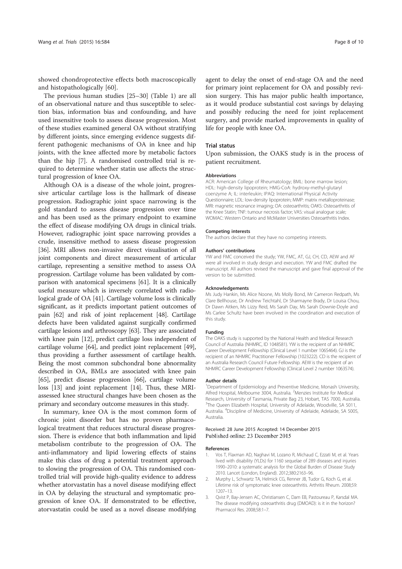showed chondroprotective effects both macroscopically and histopathologically [60].

The previous human studies [25–30] (Table 1) are all of an observational nature and thus susceptible to selection bias, information bias and confounding, and have used insensitive tools to assess disease progression. Most of these studies examined general OA without stratifying by different joints, since emerging evidence suggests different pathogenic mechanisms of OA in knee and hip joints, with the knee affected more by metabolic factors than the hip [7]. A randomised controlled trial is required to determine whether statin use affects the structural progression of knee OA.

Although OA is a disease of the whole joint, progressive articular cartilage loss is the hallmark of disease progression. Radiographic joint space narrowing is the gold standard to assess disease progression over time and has been used as the primary endpoint to examine the effect of disease modifying OA drugs in clinical trials. However, radiographic joint space narrowing provides a crude, insensitive method to assess disease progression [36]. MRI allows non-invasive direct visualisation of all joint components and direct measurement of articular cartilage, representing a sensitive method to assess OA progression. Cartilage volume has been validated by comparison with anatomical specimens [61]. It is a clinically useful measure which is inversely correlated with radiological grade of OA [41]. Cartilage volume loss is clinically significant, as it predicts important patient outcomes of pain [62] and risk of joint replacement [48]. Cartilage defects have been validated against surgically confirmed cartilage lesions and arthroscopy [63]. They are associated with knee pain [12], predict cartilage loss independent of cartilage volume [64], and predict joint replacement [49], thus providing a further assessment of cartilage health. Being the most common subchondral bone abnormality described in OA, BMLs are associated with knee pain [65], predict disease progression [66], cartilage volume loss [13] and joint replacement [14]. Thus, these MRIassessed knee structural changes have been chosen as the primary and secondary outcome measures in this study.

In summary, knee OA is the most common form of chronic joint disorder but has no proven pharmacological treatment that reduces structural disease progression. There is evidence that both inflammation and lipid metabolism contribute to the progression of OA. The anti-inflammatory and lipid lowering effects of stains make this class of drug a potential treatment approach to slowing the progression of OA. This randomised controlled trial will provide high-quality evidence to address whether atorvastatin has a novel disease modifying effect in OA by delaying the structural and symptomatic progression of knee OA. If demonstrated to be effective, atorvastatin could be used as a novel disease modifying agent to delay the onset of end-stage OA and the need for primary joint replacement for OA and possibly revision surgery. This has major public health importance, as it would produce substantial cost savings by delaying and possibly reducing the need for joint replacement surgery, and provide marked improvements in quality of life for people with knee OA.

#### Trial status

Upon submission, the OAKS study is in the process of patient recruitment.

#### Abbreviations

ACR: American College of Rheumatology; BML: bone marrow lesion; HDL: high-density lipoprotein; HMG-CoA: hydroxy-methyl-glutaryl coenzyme A; IL: interleukin; IPAQ: International Physical Activity Questionnaire; LDL: low-density lipoprotein; MMP: matrix metalloproteinase; MRI: magnetic resonance imaging; OA: osteoarthritis; OAKS: Osteoarthritis of the Knee Statin; TNF: tumour necrosis factor; VAS: visual analogue scale; WOMAC: Western Ontario and McMaster Universities Osteoarthritis Index.

#### Competing interests

The authors declare that they have no competing interests.

#### Authors' contributions

YW and FMC conceived the study; YW, FMC, AT, GJ, CH, CD, AEW and AF were all involved in study design and execution. YW and FMC drafted the manuscript. All authors revised the manuscript and gave final approval of the version to be submitted.

#### Acknowledgements

Ms Judy Hankin, Ms Alice Noone, Ms Molly Bond, Mr Cameron Redpath, Ms Clare Bellhouse, Dr Andrew Teichtahl, Dr Sharmayne Brady, Dr Louisa Chou, Dr Dawn Aitken, Ms Lizzy Reid, Ms Sarah Day, Ms Sarah Downie-Doyle and Ms Carlee Schultz have been involved in the coordination and execution of this study.

#### Funding

The OAKS study is supported by the National Health and Medical Research Council of Australia (NHMRC, ID 1048581). YW is the recipient of an NHMRC Career Development Fellowship (Clinical Level 1 number 1065464). GJ is the recipient of an NHMRC Practitioner Fellowship (1023222). CD is the recipient of an Australia Research Council Future Fellowship. AEW is the recipient of an NHMRC Career Development Fellowship (Clinical Level 2 number 1063574).

#### Author details

<sup>1</sup>Department of Epidemiology and Preventive Medicine, Monash University Alfred Hospital, Melbourne 3004, Australia. <sup>2</sup>Menzies Institute for Medical Research, University of Tasmania, Private Bag 23, Hobart, TAS 7000, Australia. <sup>3</sup>The Queen Elizabeth Hospital, University of Adelaide, Woodville, SA 5011 Australia. <sup>4</sup> Discipline of Medicine, University of Adelaide, Adelaide, SA 5005, Australia.

#### Received: 28 June 2015 Accepted: 14 December 2015 Published online: 23 December 2015

#### References

- 1. Vos T, Flaxman AD, Naghavi M, Lozano R, Michaud C, Ezzati M, et al. Years lived with disability (YLDs) for 1160 sequelae of 289 diseases and injuries 1990–2010: a systematic analysis for the Global Burden of Disease Study 2010. Lancet (London, England). 2012;380:2163–96.
- 2. Murphy L, Schwartz TA, Helmick CG, Renner JB, Tudor G, Koch G, et al. Lifetime risk of symptomatic knee osteoarthritis. Arthritis Rheum. 2008;59: 1207–13.
- 3. Qvist P, Bay-Jensen AC, Christiansen C, Dam EB, Pastoureau P, Karsdal MA. The disease modifying osteoarthritis drug (DMOAD): is it in the horizon? Pharmacol Res. 2008;58:1–7.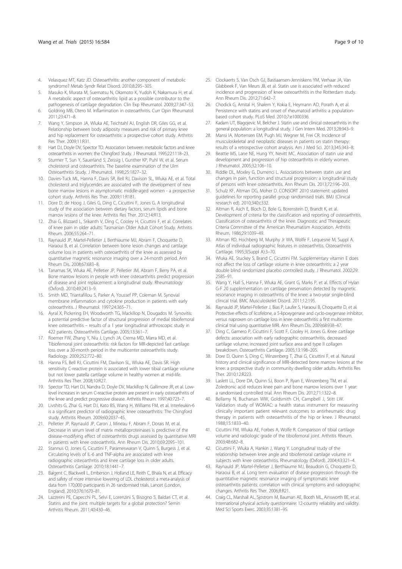- 4. Velasquez MT, Katz JD. Osteoarthritis: another component of metabolic syndrome? Metab Syndr Relat Disord. 2010;8:295–305.
- 5. Masuko K, Murata M, Suematsu N, Okamoto K, Yudoh K, Nakamura H, et al. A metabolic aspect of osteoarthritis: lipid as a possible contributor to the pathogenesis of cartilage degradation. Clin Exp Rheumatol. 2009;27:347–53.
- 6. Goldring MB, Otero M. Inflammation in osteoarthritis. Curr Opin Rheumatol. 2011;23:471–8.
- 7. Wang Y, Simpson JA, Wluka AE, Teichtahl AJ, English DR, Giles GG, et al. Relationship between body adiposity measures and risk of primary knee and hip replacement for osteoarthritis: a prospective cohort study. Arthritis Res Ther. 2009;11:R31.
- Hart DJ, Doyle DV, Spector TD. Association between metabolic factors and knee osteoarthritis in women: the Chingford Study. J Rheumatol. 1995;22:1118–23.
- 9. Sturmer T, Sun Y, Sauerland S, Zeissig I, Gunther KP, Puhl W, et al. Serum cholesterol and osteoarthritis. The baseline examination of the Ulm Osteoarthritis Study. J Rheumatol. 1998;25:1827–32.
- 10. Davies-Tuck ML, Hanna F, Davis SR, Bell RJ, Davison SL, Wluka AE, et al. Total cholesterol and triglycerides are associated with the development of new bone marrow lesions in asymptomatic middle-aged women - a prospective cohort study. Arthritis Res Ther. 2009;11:R181.
- 11. Dore D, de Hoog J, Giles G, Ding C, Cicuttini F, Jones G. A longitudinal study of the association between dietary factors, serum lipids and bone marrow lesions of the knee. Arthritis Res Ther. 2012;14:R13.
- 12. Zhai G, Blizzard L, Srikanth V, Ding C, Cooley H, Cicuttini F, et al. Correlates of knee pain in older adults: Tasmanian Older Adult Cohort Study. Arthritis Rheum. 2006;55:264–71.
- 13. Raynauld JP, Martel-Pelletier J, Berthiaume MJ, Abram F, Choquette D, Haraoui B, et al. Correlation between bone lesion changes and cartilage volume loss in patients with osteoarthritis of the knee as assessed by quantitative magnetic resonance imaging over a 24-month period. Ann Rheum Dis. 2008;67:683–8.
- 14. Tanamas SK, Wluka AE, Pelletier JP, Pelletier JM, Abram F, Berry PA, et al. Bone marrow lesions in people with knee osteoarthritis predict progression of disease and joint replacement: a longitudinal study. Rheumatology (Oxford). 2010;49:2413–9.
- 15. Smith MD, Triantafillou S, Parker A, Youssef PP, Coleman M. Synovial membrane inflammation and cytokine production in patients with early osteoarthritis. J Rheumatol. 1997;24:365–71.
- 16. Ayral X, Pickering EH, Woodworth TG, Mackillop N, Dougados M. Synovitis: a potential predictive factor of structural progression of medial tibiofemoral knee osteoarthritis – results of a 1 year longitudinal arthroscopic study in 422 patients. Osteoarthritis Cartilage. 2005;13:361–7.
- 17. Roemer FW, Zhang Y, Niu J, Lynch JA, Crema MD, Marra MD, et al. Tibiofemoral joint osteoarthritis: risk factors for MR-depicted fast cartilage loss over a 30-month period in the multicenter osteoarthritis study. Radiology. 2009;252:772–80.
- 18. Hanna FS, Bell RJ, Cicuttini FM, Davison SL, Wluka AE, Davis SR. High sensitivity C-reactive protein is associated with lower tibial cartilage volume but not lower patella cartilage volume in healthy women at mid-life. Arthritis Res Ther. 2008;10:R27.
- 19. Spector TD, Hart DJ, Nandra D, Doyle DV, Mackillop N, Gallimore JR, et al. Lowlevel increases in serum C-reactive protein are present in early osteoarthritis of the knee and predict progressive disease. Arthritis Rheum. 1997;40:723–7.
- 20. Livshits G, Zhai G, Hart DJ, Kato BS, Wang H, Williams FM, et al. Interleukin-6 is a significant predictor of radiographic knee osteoarthritis: The Chingford study. Arthritis Rheum. 2009;60:2037–45.
- 21. Pelletier JP, Raynauld JP, Caron J, Mineau F, Abram F, Dorais M, et al. Decrease in serum level of matrix metalloproteinases is predictive of the disease-modifying effect of osteoarthritis drugs assessed by quantitative MRI in patients with knee osteoarthritis. Ann Rheum Dis. 2010;69:2095–101.
- 22. Stannus O, Jones G, Cicuttini F, Parameswaran V, Quinn S, Burgess J, et al. Circulating levels of IL-6 and TNF-alpha are associated with knee radiographic osteoarthritis and knee cartilage loss in older adults. Osteoarthritis Cartilage. 2010;18:1441–7.
- 23. Baigent C, Blackwell L, Emberson J, Holland LE, Reith C, Bhala N, et al. Efficacy and safety of more intensive lowering of LDL cholesterol: a meta-analysis of data from 170,000 participants in 26 randomised trials. Lancet (London, England). 2010;376:1670–81.
- 24. Lazzerini PE, Capecchi PL, Selvi E, Lorenzini S, Bisogno S, Baldari CT, et al. Statins and the joint: multiple targets for a global protection? Semin Arthritis Rheum. 2011;40:430–46.
- 25. Clockaerts S, Van Osch GJ, Bastiaansen-Jenniskens YM, Verhaar JA, Van Glabbeek F, Van Meurs JB, et al. Statin use is associated with reduced incidence and progression of knee osteoarthritis in the Rotterdam study. Ann Rheum Dis. 2012;71:642–7.
- 26. Chodick G, Amital H, Shalem Y, Kokia E, Heymann AD, Porath A, et al. Persistence with statins and onset of rheumatoid arthritis: a populationbased cohort study. PLoS Med. 2010;7:e1000336.
- 27. Kadam UT, Blagojevic M, Belcher J. Statin use and clinical osteoarthritis in the general population: a longitudinal study. J Gen Intern Med. 2013;28:943–9.
- 28. Mansi IA, Mortensen EM, Pugh MJ, Wegner M, Frei CR. Incidence of musculoskeletal and neoplastic diseases in patients on statin therapy: results of a retrospective cohort analysis. Am J Med Sci. 2013;345:343–8.
- 29. Beattie MS, Lane NE, Hung YY, Nevitt MC. Association of statin use and development and progression of hip osteoarthritis in elderly women. J Rheumatol. 2005;32:106–10.
- 30. Riddle DL, Moxley G, Dumenci L. Associations between statin use and changes in pain, function and structural progression: a longitudinal study of persons with knee osteoarthritis. Ann Rheum Dis. 2013;72:196–203.
- 31. Schulz KF, Altman DG, Moher D. CONSORT 2010 statement: updated guidelines for reporting parallel group randomised trials. BMJ (Clinical research ed). 2010;340:c332.
- 32. Altman R, Asch E, Bloch D, Bole G, Borenstein D, Brandt K, et al. Development of criteria for the classification and reporting of osteoarthritis. Classification of osteoarthritis of the knee. Diagnostic and Therapeutic Criteria Committee of the American Rheumatism Association. Arthritis Rheum. 1986;29:1039–49.
- 33. Altman RD, Hochberg M, Murphy Jr WA, Wolfe F, Lequesne M, Suppl A. Atlas of individual radiographic features in osteoarthritis. Osteoarthritis Cartilage. 1995;3(Suppl A):3–70.
- 34. Wluka AE, Stuckey S, Brand C, Cicuttini FM. Supplementary vitamin E does not affect the loss of cartilage volume in knee osteoarthritis: a 2 year double blind randomized placebo controlled study. J Rheumatol. 2002;29: 2585–91.
- 35. Wang Y, Hall S, Hanna F, Wluka AE, Grant G, Marks P, et al. Effects of Hylan G-F 20 supplementation on cartilage preservation detected by magnetic resonance imaging in osteoarthritis of the knee: a two-year single-blind clinical trial. BMC Musculoskelet Disord. 2011;12:195.
- 36. Raynauld JP, Martel-Pelletier J, Bias P, Laufer S, Haraoui B, Choquette D, et al. Protective effects of licofelone, a 5-lipoxygenase and cyclo-oxygenase inhibitor, versus naproxen on cartilage loss in knee osteoarthritis: a first multicentre clinical trial using quantitative MRI. Ann Rheum Dis. 2009;68:938–47.
- 37. Ding C, Garnero P, Cicuttini F, Scott F, Cooley H, Jones G. Knee cartilage defects: association with early radiographic osteoarthritis, decreased cartilage volume, increased joint surface area and type II collagen breakdown. Osteoarthritis Cartilage. 2005;13:198–205.
- 38. Dore D, Quinn S, Ding C, Winzenberg T, Zhai G, Cicuttini F, et al. Natural history and clinical significance of MRI-detected bone marrow lesions at the knee: a prospective study in community dwelling older adults. Arthritis Res Ther. 2010;12:R223.
- 39. Laslett LL, Dore DA, Quinn SJ, Boon P, Ryan E, Winzenberg TM, et al. Zoledronic acid reduces knee pain and bone marrow lesions over 1 year: a randomised controlled trial. Ann Rheum Dis. 2012;71:1322–8.
- 40. Bellamy N, Buchanan WW, Goldsmith CH, Campbell J, Stitt LW. Validation study of WOMAC: a health status instrument for measuring clinically important patient relevant outcomes to antirheumatic drug therapy in patients with osteoarthritis of the hip or knee. J Rheumatol. 1988;15:1833–40.
- 41. Cicuttini FM, Wluka AE, Forbes A, Wolfe R. Comparison of tibial cartilage volume and radiologic grade of the tibiofemoral joint. Arthritis Rheum. 2003;48:682–8.
- 42. Cicuttini F, Wluka A, Hankin J, Wang Y. Longitudinal study of the relationship between knee angle and tibiofemoral cartilage volume in subjects with knee osteoarthritis. Rheumatology (Oxford). 2004;43:321–4.
- Raynauld JP, Martel-Pelletier J, Berthiaume MJ, Beaudoin G, Choquette D, Haraoui B, et al. Long term evaluation of disease progression through the quantitative magnetic resonance imaging of symptomatic knee osteoarthritis patients: correlation with clinical symptoms and radiographic changes. Arthritis Res Ther. 2006;8:R21.
- 44. Craig CL, Marshall AL, Sjostrom M, Bauman AE, Booth ML, Ainsworth BE, et al. International physical activity questionnaire: 12-country reliability and validity. Med Sci Sports Exerc. 2003;35:1381–95.